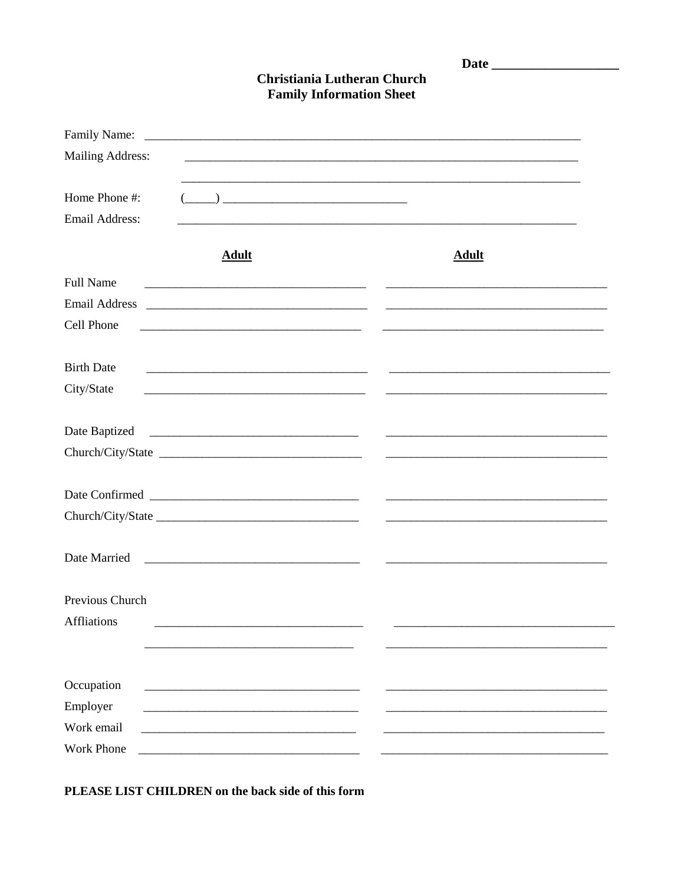| <b>Christiania Lutheran Church</b><br><b>Family Information Sheet</b> |                                                                                                                                                                                                                                                                                                                                                                     |                                                                                 |
|-----------------------------------------------------------------------|---------------------------------------------------------------------------------------------------------------------------------------------------------------------------------------------------------------------------------------------------------------------------------------------------------------------------------------------------------------------|---------------------------------------------------------------------------------|
|                                                                       |                                                                                                                                                                                                                                                                                                                                                                     |                                                                                 |
| <b>Mailing Address:</b>                                               |                                                                                                                                                                                                                                                                                                                                                                     |                                                                                 |
| Home Phone #:                                                         | $\begin{picture}(20,10) \put(0,0){\vector(1,0){100}} \put(15,0){\vector(1,0){100}} \put(15,0){\vector(1,0){100}} \put(15,0){\vector(1,0){100}} \put(15,0){\vector(1,0){100}} \put(15,0){\vector(1,0){100}} \put(15,0){\vector(1,0){100}} \put(15,0){\vector(1,0){100}} \put(15,0){\vector(1,0){100}} \put(15,0){\vector(1,0){100}} \put(15,0){\vector(1,0){100}} \$ |                                                                                 |
| <b>Email Address:</b>                                                 |                                                                                                                                                                                                                                                                                                                                                                     |                                                                                 |
|                                                                       | <b>Adult</b>                                                                                                                                                                                                                                                                                                                                                        | <b>Adult</b>                                                                    |
| <b>Full Name</b>                                                      |                                                                                                                                                                                                                                                                                                                                                                     |                                                                                 |
| <b>Email Address</b>                                                  |                                                                                                                                                                                                                                                                                                                                                                     | <u> 2000 - Andrea Andrew Maria (h. 1888).</u><br>2001 - Andrew Maria (h. 1888). |
| Cell Phone                                                            |                                                                                                                                                                                                                                                                                                                                                                     |                                                                                 |
| <b>Birth Date</b>                                                     |                                                                                                                                                                                                                                                                                                                                                                     |                                                                                 |
| City/State                                                            |                                                                                                                                                                                                                                                                                                                                                                     |                                                                                 |
| Date Baptized                                                         |                                                                                                                                                                                                                                                                                                                                                                     |                                                                                 |
|                                                                       | Church/City/State                                                                                                                                                                                                                                                                                                                                                   |                                                                                 |
|                                                                       |                                                                                                                                                                                                                                                                                                                                                                     |                                                                                 |
|                                                                       | Date Confirmed                                                                                                                                                                                                                                                                                                                                                      |                                                                                 |
|                                                                       |                                                                                                                                                                                                                                                                                                                                                                     |                                                                                 |
| Date Married                                                          |                                                                                                                                                                                                                                                                                                                                                                     |                                                                                 |
| Previous Church                                                       |                                                                                                                                                                                                                                                                                                                                                                     |                                                                                 |
| <b>Affliations</b>                                                    |                                                                                                                                                                                                                                                                                                                                                                     |                                                                                 |
|                                                                       |                                                                                                                                                                                                                                                                                                                                                                     |                                                                                 |
|                                                                       |                                                                                                                                                                                                                                                                                                                                                                     |                                                                                 |
| Occupation                                                            | <u> 1980 - Johann John Stone, meil er fan de ferske fan de ferske fan de ferske fan de ferske fan de ferske fan d</u>                                                                                                                                                                                                                                               |                                                                                 |
| Employer                                                              |                                                                                                                                                                                                                                                                                                                                                                     |                                                                                 |
| Work email                                                            |                                                                                                                                                                                                                                                                                                                                                                     |                                                                                 |
| <b>Work Phone</b>                                                     |                                                                                                                                                                                                                                                                                                                                                                     |                                                                                 |

PLEASE LIST CHILDREN on the back side of this form